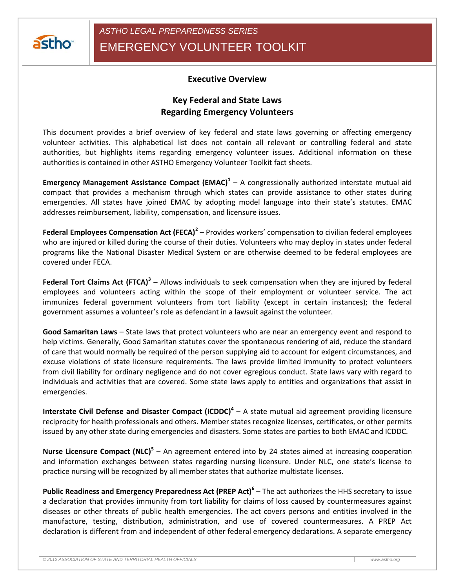

## **Executive Overview**

## **Key Federal and State Laws Regarding Emergency Volunteers**

This document provides a brief overview of key federal and state laws governing or affecting emergency volunteer activities. This alphabetical list does not contain all relevant or controlling federal and state authorities, but highlights items regarding emergency volunteer issues. Additional information on these authorities is contained in other ASTHO Emergency Volunteer Toolkit fact sheets.

**Emergency Management Assistance Compact (EMAC)<sup>1</sup>** – A congressionally authorized interstate mutual aid compact that provides a mechanism through which states can provide assistance to other states during emergencies. All states have joined EMAC by adopting model language into their state's statutes. EMAC addresses reimbursement, liability, compensation, and licensure issues.

Federal Employees Compensation Act (FECA)<sup>2</sup> – Provides workers' compensation to civilian federal employees who are injured or killed during the course of their duties. Volunteers who may deploy in states under federal programs like the National Disaster Medical System or are otherwise deemed to be federal employees are covered under FECA.

**Federal Tort Claims Act (FTCA)<sup>3</sup>** – Allows individuals to seek compensation when they are injured by federal employees and volunteers acting within the scope of their employment or volunteer service. The act immunizes federal government volunteers from tort liability (except in certain instances); the federal government assumes a volunteer's role as defendant in a lawsuit against the volunteer.

**Good Samaritan Laws** – State laws that protect volunteers who are near an emergency event and respond to help victims. Generally, Good Samaritan statutes cover the spontaneous rendering of aid, reduce the standard of care that would normally be required of the person supplying aid to account for exigent circumstances, and excuse violations of state licensure requirements. The laws provide limited immunity to protect volunteers from civil liability for ordinary negligence and do not cover egregious conduct. State laws vary with regard to individuals and activities that are covered. Some state laws apply to entities and organizations that assist in emergencies.

**Interstate Civil Defense and Disaster Compact (ICDDC)<sup>4</sup> – A state mutual aid agreement providing licensure** reciprocity for health professionals and others. Member states recognize licenses, certificates, or other permits issued by any other state during emergencies and disasters. Some states are parties to both EMAC and ICDDC.

Nurse Licensure Compact (NLC)<sup>5</sup> – An agreement entered into by 24 states aimed at increasing cooperation and information exchanges between states regarding nursing licensure. Under NLC, one state's license to practice nursing will be recognized by all member states that authorize multistate licenses.

**Public Readiness and Emergency Preparedness Act (PREP Act)<sup>6</sup>** – The act authorizes the HHS secretary to issue a declaration that provides immunity from tort liability for claims of loss caused by countermeasures against diseases or other threats of public health emergencies. The act covers persons and entities involved in the manufacture, testing, distribution, administration, and use of covered countermeasures. A PREP Act declaration is different from and independent of other federal emergency declarations. A separate emergency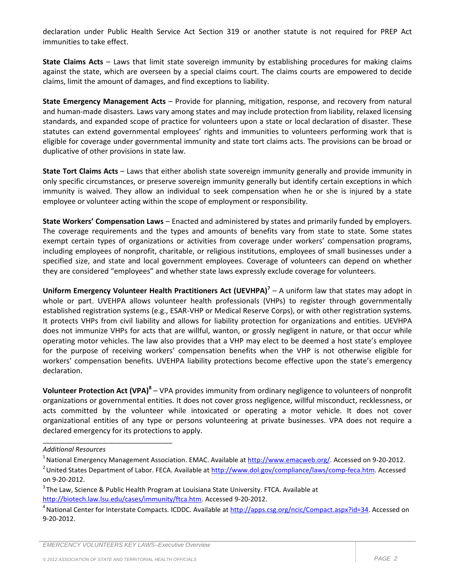declaration under Public Health Service Act Section 319 or another statute is not required for PREP Act immunities to take effect.

**State Claims Acts** – Laws that limit state sovereign immunity by establishing procedures for making claims against the state, which are overseen by a special claims court. The claims courts are empowered to decide claims, limit the amount of damages, and find exceptions to liability.

**State Emergency Management Acts** – Provide for planning, mitigation, response, and recovery from natural and human-made disasters. Laws vary among states and may include protection from liability, relaxed licensing standards, and expanded scope of practice for volunteers upon a state or local declaration of disaster. These statutes can extend governmental employees' rights and immunities to volunteers performing work that is eligible for coverage under governmental immunity and state tort claims acts. The provisions can be broad or duplicative of other provisions in state law.

**State Tort Claims Acts** – Laws that either abolish state sovereign immunity generally and provide immunity in only specific circumstances, or preserve sovereign immunity generally but identify certain exceptions in which immunity is waived. They allow an individual to seek compensation when he or she is injured by a state employee or volunteer acting within the scope of employment or responsibility.

**State Workers' Compensation Laws** – Enacted and administered by states and primarily funded by employers. The coverage requirements and the types and amounts of benefits vary from state to state. Some states exempt certain types of organizations or activities from coverage under workers' compensation programs, including employees of nonprofit, charitable, or religious institutions, employees of small businesses under a specified size, and state and local government employees. Coverage of volunteers can depend on whether they are considered "employees" and whether state laws expressly exclude coverage for volunteers.

**Uniform Emergency Volunteer Health Practitioners Act (UEVHPA)<sup>7</sup>** – A uniform law that states may adopt in whole or part. UVEHPA allows volunteer health professionals (VHPs) to register through governmentally established registration systems (e.g., ESAR-VHP or Medical Reserve Corps), or with other registration systems. It protects VHPs from civil liability and allows for liability protection for organizations and entities. UEVHPA does not immunize VHPs for acts that are willful, wanton, or grossly negligent in nature, or that occur while operating motor vehicles. The law also provides that a VHP may elect to be deemed a host state's employee for the purpose of receiving workers' compensation benefits when the VHP is not otherwise eligible for workers' compensation benefits. UVEHPA liability protections become effective upon the state's emergency declaration.

**Volunteer Protection Act (VPA)<sup>8</sup> –** VPA provides immunity from ordinary negligence to volunteers of nonprofit organizations or governmental entities. It does not cover gross negligence, willful misconduct, recklessness, or acts committed by the volunteer while intoxicated or operating a motor vehicle. It does not cover organizational entities of any type or persons volunteering at private businesses. VPA does not require a declared emergency for its protections to apply.

\_\_\_\_\_\_\_\_\_\_\_\_\_\_\_\_\_\_\_\_\_\_\_\_\_\_\_\_\_\_\_\_\_\_\_

*Additional Resources*

<sup>&</sup>lt;sup>1</sup> National Emergency Management Association. EMAC. Available a[t http://www.emacweb.org/.](http://www.emacweb.org/) Accessed on 9-20-2012.

<sup>&</sup>lt;sup>2</sup> United States Department of Labor. FECA. Available a[t http://www.dol.gov/compliance/laws/comp-feca.htm.](http://www.dol.gov/compliance/laws/comp-feca.htm) Accessed on 9-20-2012.

<sup>&</sup>lt;sup>3</sup> The Law, Science & Public Health Program at Louisiana State University. FTCA. Available at [http://biotech.law.lsu.edu/cases/immunity/ftca.htm.](http://biotech.law.lsu.edu/cases/immunity/ftca.htm) Accessed 9-20-2012.

<sup>&</sup>lt;sup>4</sup> National Center for Interstate Compacts. ICDDC. Available at [http://apps.csg.org/ncic/Compact.aspx?id=34.](http://apps.csg.org/ncic/Compact.aspx?id=34) Accessed on 9-20-2012.

*EMERCENCY VOLUNTEERS KEY LAWS–Executive Overview*